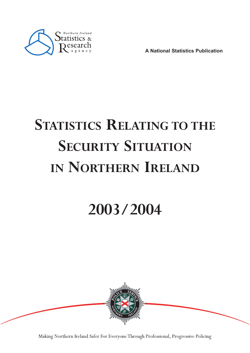

**A National Statistics Publication**

# **STATISTICS RELATING TO THE SECURITY SITUATION IN NORTHERN IRELAND**

## **2003/2004**



Making Northern Ireland Safer For Everyone Through Professional, Progressive Policing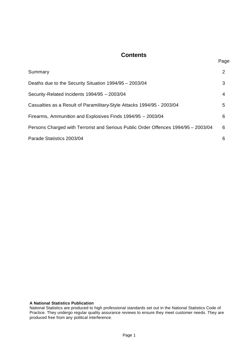#### **Contents**

| Summary                                                                            | $\overline{2}$ |
|------------------------------------------------------------------------------------|----------------|
| Deaths due to the Security Situation 1994/95 - 2003/04                             | 3              |
| Security-Related Incidents 1994/95 - 2003/04                                       | 4              |
| Casualties as a Result of Paramilitary-Style Attacks 1994/95 - 2003/04             | 5              |
| Firearms, Ammunition and Explosives Finds 1994/95 - 2003/04                        | 6              |
| Persons Charged with Terrorist and Serious Public Order Offences 1994/95 - 2003/04 | 6              |
| Parade Statistics 2003/04                                                          | 6              |

#### **A National Statistics Publication**

National Statistics are produced to high professional standards set out in the National Statistics Code of Practice. They undergo regular quality assurance reviews to ensure they meet customer needs. They are produced free from any political interference.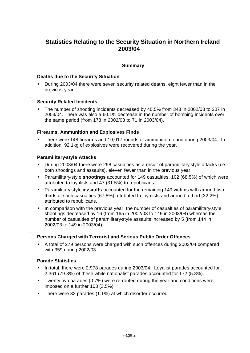### **Statistics Relating to the Security Situation in Northern Ireland 2003/04**

#### **Summary**

#### **Deaths due to the Security Situation**

• During 2003/04 there were seven security related deaths, eight fewer than in the previous year.

#### **Security-Related Incidents**

.

.

• The number of shooting incidents decreased by 40.5% from 348 in 2002/03 to 207 in 2003/04. There was also a 60.1% decrease in the number of bombing incidents over the same period (from 178 in 2002/03 to 71 in 2003/04).

#### **Firearms, Ammunition and Explosives Finds**

• There were 148 firearms and 19,017 rounds of ammunition found during 2003/04. In addition, 92.1kg of explosives were recovered during the year.

#### **Paramilitary-style Attacks**

- During 2003/04 there were 298 casualties as a result of paramilitary-style attacks (i.e. both shootings and assaults), eleven fewer than in the previous year.
- Paramilitary-style **shootings** accounted for 149 casualties, 102 (68.5%) of which were attributed to loyalists and 47 (31.5%) to republicans.
- Paramilitary-style **assaults** accounted for the remaining 149 victims with around two thirds of such casualties (67.8%) attributed to loyalists and around a third (32.2%) attributed to republicans.
- In comparison with the previous year, the number of casualties of paramilitary-style shootings decreased by 16 (from 165 in 2002/03 to 149 in 2003/04) whereas the number of casualties of paramilitary-style assaults increased by 5 (from 144 in 2002/03 to 149 in 2003/04).

#### **Persons Charged with Terrorist and Serious Public Order Offences**

• A total of 279 persons were charged with such offences during 2003/04 compared with 359 during 2002/03.

#### **Parade Statistics**

- In total, there were 2,978 parades during 2003/04. Loyalist parades accounted for 2,361 (79.3%) of these while nationalist parades accounted for 172 (5.8%).
- Twenty two parades (0.7%) were re-routed during the year and conditions were imposed on a further 103 (3.5%).
- There were 32 parades (1.1%) at which disorder occurred.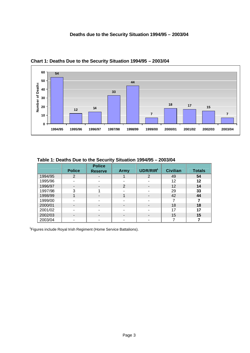

 **Chart 1: Deaths Due to the Security Situation 1994/95 – 2003/04**

|         | <b>Police</b> | <b>Police</b><br><b>Reserve</b> | Army                     | UDR/RIR <sup>1</sup>     | <b>Civilian</b> | <b>Totals</b> |
|---------|---------------|---------------------------------|--------------------------|--------------------------|-----------------|---------------|
| 1994/95 | 2             | $\overline{\phantom{0}}$        |                          | $\overline{2}$           | 49              | 54            |
| 1995/96 |               |                                 |                          |                          | 12              | 12            |
| 1996/97 |               |                                 | 2                        | $\overline{\phantom{0}}$ | 12              | 14            |
| 1997/98 | 3             |                                 | -                        |                          | 29              | 33            |
| 1998/99 |               |                                 |                          |                          | 42              | 44            |
| 1999/00 |               |                                 | $\blacksquare$           |                          |                 |               |
| 2000/01 |               |                                 | $\overline{\phantom{0}}$ |                          | 18              | 18            |
| 2001/02 |               |                                 |                          |                          | 17              | 17            |
| 2002/03 |               |                                 | $\overline{\phantom{a}}$ | -                        | 15              | 15            |
| 2003/04 |               |                                 | -                        |                          |                 |               |

 **Table 1: Deaths Due to the Security Situation 1994/95 – 2003/04**

<sup>1</sup> Figures include Royal Irish Regiment (Home Service Battalions).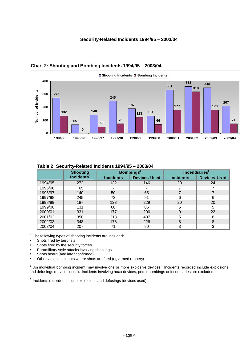#### **Security-Related Incidents 1994/95 – 2003/04**



**Increas** Used

 **Chart 2: Shooting and Bombing Incidents 1994/95 – 2003/04**

|         | <b>Shooting</b> |                          | <b>Bombings</b>     | <b>Incendiaries</b> |                |  |  |
|---------|-----------------|--------------------------|---------------------|---------------------|----------------|--|--|
|         | Incidents'      | <b>Incidents</b>         | <b>Devices Used</b> | <b>Incidents</b>    | <b>Devices</b> |  |  |
| 1994/95 | 272             | 132                      | 146                 | 20                  | 24             |  |  |
| 1995/96 | 65              | $\overline{\phantom{a}}$ | -                   |                     |                |  |  |

1996/97 | 140 | 50 | 65 | 7 | 7 1997/98 | 245 | 73 | 91 | 6 | 6 1998/99 | 187 | 123 | 229 | 20 | 20 1999/00 | 131 | 66 | 86 | 5 | 5 2000/01 331 177 206 9 22 2001/02 | 358 | 318 | 407 | 5 | 6 2002/03 | 348 | 178 | 226 | 8 | 8 2003/04 | 207 | 71 | 80 | 3 | 3

#### **Table 2: Security-Related Incidents 1994/95 – 2003/04**

1 The following types of shooting incidents are included:

- Shots fired by terrorists
- Shots fired by the security forces
- Paramilitary-style attacks involving shootings
- Shots heard (and later confirmed)
- Other violent incidents where shots are fired (eg armed robbery)

 $2$  An individual bombing incident may involve one or more explosive devices. Incidents recorded include explosions and defusings (devices used). Incidents involving hoax devices, petrol bombings or incendiaries are excluded.

 $3$  Incidents recorded include explosions and defusings (devices used).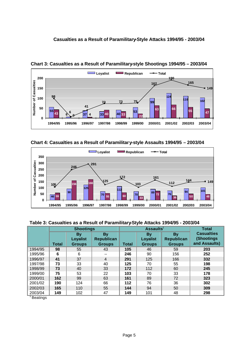#### **Casualties as a Result of Paramilitary-Style Attacks 1994/95 - 2003/04**



 **Chart 3: Casualties as a Result of Paramilitary-style Shootings 1994/95 – 2003/04**

 **Chart 4: Casualties as a Result of Paramilitary-style Assaults 1994/95 – 2003/04**



#### **Table 3: Casualties as a Result of Paramilitary-Style Attacks 1994/95 - 2003/04**

|         | <b>Shootings</b> |                                        |                                                 |              | $\textsf{Assaults}^1$                  | <b>Total</b>                             |                                                   |
|---------|------------------|----------------------------------------|-------------------------------------------------|--------------|----------------------------------------|------------------------------------------|---------------------------------------------------|
|         | <b>Total</b>     | By<br><b>Loyalist</b><br><b>Groups</b> | <b>By</b><br><b>Republican</b><br><b>Groups</b> | <b>Total</b> | By<br><b>Loyalist</b><br><b>Groups</b> | <b>By</b><br>Republican<br><b>Groups</b> | <b>Casualties</b><br>(Shootings)<br>and Assaults) |
| 1994/95 | 98               | 55                                     | 43                                              | 105          | 46                                     | 59                                       | 203                                               |
| 1995/96 | 6                | 6                                      | $- -$                                           | 246          | 90                                     | 156                                      | 252                                               |
| 1996/97 | 41               | 37                                     | $\overline{4}$                                  | 291          | 125                                    | 166                                      | 332                                               |
| 1997/98 | 73               | 33                                     | 40                                              | 125          | 70                                     | 55                                       | 198                                               |
| 1998/99 | 73               | 40                                     | 33                                              | 172          | 112                                    | 60                                       | 245                                               |
| 1999/00 | 75               | 53                                     | 22                                              | 103          | 70                                     | 33                                       | 178                                               |
| 2000/01 | 162              | 99                                     | 63                                              | 161          | 89                                     | 72                                       | 323                                               |
| 2001/02 | 190              | 124                                    | 66                                              | 112          | 76                                     | 36                                       | 302                                               |
| 2002/03 | 165              | 110                                    | 55                                              | 144          | 94                                     | 50                                       | 309                                               |
| 2003/04 | 149              | 102                                    | 47                                              | 149          | 101                                    | 48                                       | 298                                               |

<sup>1</sup> Beatings